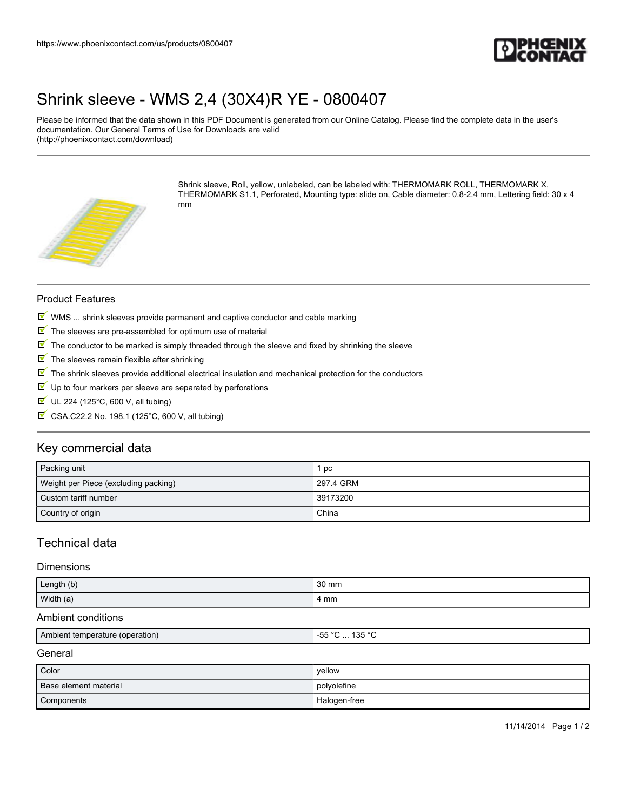

## [Shrink sleeve - WMS 2,4 \(30X4\)R YE - 0800407](https://www.phoenixcontact.com/us/products/0800407)

Please be informed that the data shown in this PDF Document is generated from our Online Catalog. Please find the complete data in the user's documentation. Our General Terms of Use for Downloads are valid (http://phoenixcontact.com/download)



Shrink sleeve, Roll, yellow, unlabeled, can be labeled with: THERMOMARK ROLL, THERMOMARK X, THERMOMARK S1.1, Perforated, Mounting type: slide on, Cable diameter: 0.8-2.4 mm, Lettering field: 30 x 4 mm

### Product Features

- $M$  WMS ... shrink sleeves provide permanent and captive conductor and cable marking
- $\blacksquare$  The sleeves are pre-assembled for optimum use of material
- $\mathbb N$  The conductor to be marked is simply threaded through the sleeve and fixed by shrinking the sleeve
- $\blacksquare$  The sleeves remain flexible after shrinking
- $\mathbb F$  The shrink sleeves provide additional electrical insulation and mechanical protection for the conductors
- $\blacktriangledown$ Up to four markers per sleeve are separated by perforations
- $\blacksquare$  UL 224 (125°C, 600 V, all tubing)
- $\overline{\mathbb{M}}$  CSA.C22.2 No. 198.1 (125°C, 600 V, all tubing)

### Key commercial data

| Packing unit                         | рc        |
|--------------------------------------|-----------|
| Weight per Piece (excluding packing) | 297.4 GRM |
| Custom tariff number                 | 39173200  |
| Country of origin                    | China     |

## Technical data

### **Dimensions**

| Length (b) | 30 mm |
|------------|-------|
| Width (a)  | 4 mm  |

### Ambient conditions

| I Ambient temperature (operation) | 20E<br>$ -$<br>$\sim$<br><u>ເມບ</u><br>ື<br>. |
|-----------------------------------|-----------------------------------------------|
|                                   |                                               |

### **General**

| Color                 | vellow       |
|-----------------------|--------------|
| Base element material | polyolefine  |
| Components            | Halogen-free |